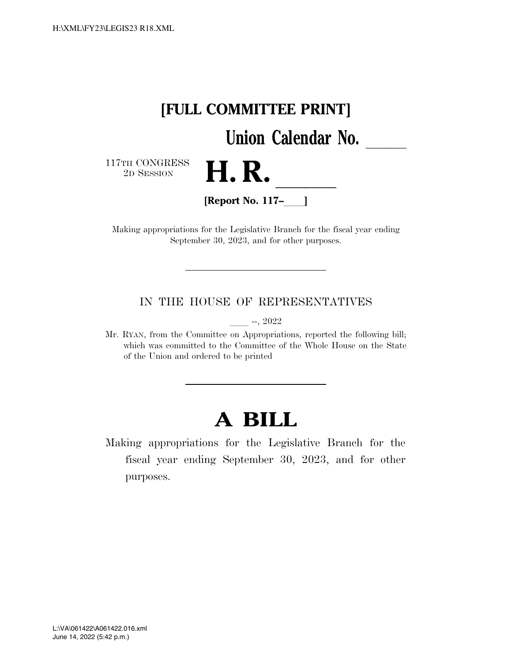

Making appropriations for the Legislative Branch for the fiscal year ending September 30, 2023, and for other purposes.

IN THE HOUSE OF REPRESENTATIVES

ll --, 2022

Mr. RYAN, from the Committee on Appropriations, reported the following bill; which was committed to the Committee of the Whole House on the State of the Union and ordered to be printed

# **A BILL**

Making appropriations for the Legislative Branch for the fiscal year ending September 30, 2023, and for other purposes.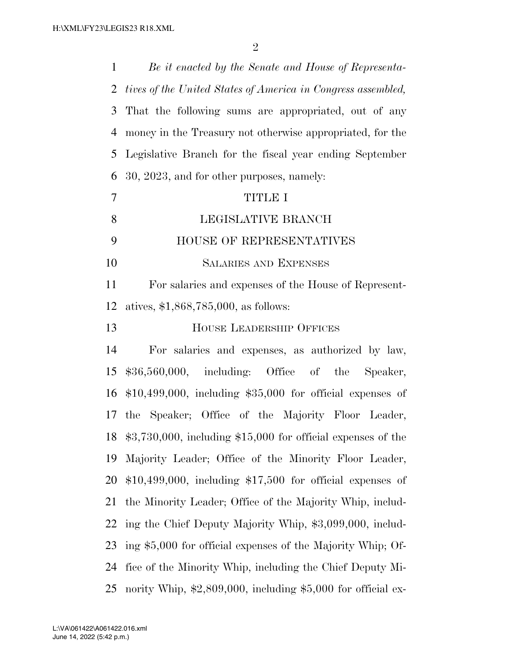| $\mathbf{1}$   | Be it enacted by the Senate and House of Representa-                         |  |  |  |
|----------------|------------------------------------------------------------------------------|--|--|--|
| 2              | tives of the United States of America in Congress assembled,                 |  |  |  |
| 3              | That the following sums are appropriated, out of any                         |  |  |  |
| 4              | money in the Treasury not otherwise appropriated, for the                    |  |  |  |
| 5              | Legislative Branch for the fiscal year ending September                      |  |  |  |
| 6              | 30, 2023, and for other purposes, namely:                                    |  |  |  |
| $\overline{7}$ | <b>TITLE I</b>                                                               |  |  |  |
| 8              | LEGISLATIVE BRANCH                                                           |  |  |  |
| 9              | HOUSE OF REPRESENTATIVES                                                     |  |  |  |
| 10             | <b>SALARIES AND EXPENSES</b>                                                 |  |  |  |
| 11             | For salaries and expenses of the House of Represent-                         |  |  |  |
| 12             | atives, $$1,868,785,000$ , as follows:                                       |  |  |  |
| 13             | <b>HOUSE LEADERSHIP OFFICES</b>                                              |  |  |  |
| 14             | For salaries and expenses, as authorized by law,                             |  |  |  |
| 15             | $$36,560,000$ , including: Office of the<br>Speaker,                         |  |  |  |
| 16             | $$10,499,000$ , including $$35,000$ for official expenses of                 |  |  |  |
| 17             | the Speaker; Office of the Majority Floor Leader,                            |  |  |  |
| 18             | $$3,730,000$ , including $$15,000$ for official expenses of the              |  |  |  |
| 19             | Majority Leader; Office of the Minority Floor Leader,                        |  |  |  |
| 20             | $$10,499,000$ , including $$17,500$ for official expenses of                 |  |  |  |
| 21             | the Minority Leader; Office of the Majority Whip, includ-                    |  |  |  |
| 22             | ing the Chief Deputy Majority Whip, \$3,099,000, includ-                     |  |  |  |
| 23             | ing \$5,000 for official expenses of the Majority Whip; Of-                  |  |  |  |
| 24             | fice of the Minority Whip, including the Chief Deputy Mi-                    |  |  |  |
| 25             | nority Whip, $\text{$2,809,000},$ including $\text{$5,000}$ for official ex- |  |  |  |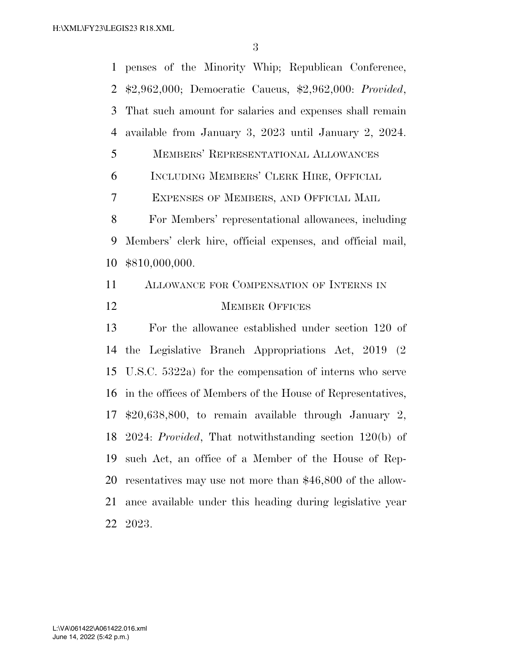penses of the Minority Whip; Republican Conference, \$2,962,000; Democratic Caucus, \$2,962,000: *Provided*, That such amount for salaries and expenses shall remain available from January 3, 2023 until January 2, 2024. MEMBERS' REPRESENTATIONAL ALLOWANCES INCLUDING MEMBERS' CLERK HIRE, OFFICIAL EXPENSES OF MEMBERS, AND OFFICIAL MAIL For Members' representational allowances, including Members' clerk hire, official expenses, and official mail, \$810,000,000. ALLOWANCE FOR COMPENSATION OF INTERNS IN 12 MEMBER OFFICES For the allowance established under section 120 of the Legislative Branch Appropriations Act, 2019 (2 U.S.C. 5322a) for the compensation of interns who serve in the offices of Members of the House of Representatives, \$20,638,800, to remain available through January 2, 2024: *Provided*, That notwithstanding section 120(b) of such Act, an office of a Member of the House of Rep- resentatives may use not more than \$46,800 of the allow- ance available under this heading during legislative year 2023.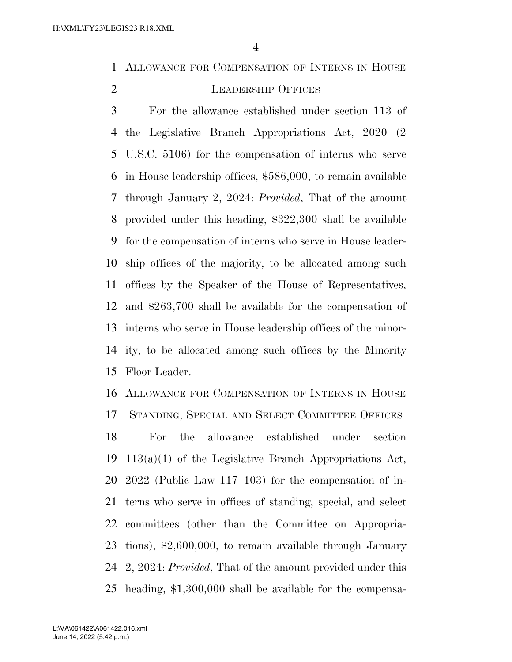ALLOWANCE FOR COMPENSATION OF INTERNS IN HOUSE

## LEADERSHIP OFFICES

 For the allowance established under section 113 of the Legislative Branch Appropriations Act, 2020 (2 U.S.C. 5106) for the compensation of interns who serve in House leadership offices, \$586,000, to remain available through January 2, 2024: *Provided*, That of the amount provided under this heading, \$322,300 shall be available for the compensation of interns who serve in House leader- ship offices of the majority, to be allocated among such offices by the Speaker of the House of Representatives, and \$263,700 shall be available for the compensation of interns who serve in House leadership offices of the minor- ity, to be allocated among such offices by the Minority Floor Leader.

 ALLOWANCE FOR COMPENSATION OF INTERNS IN HOUSE STANDING, SPECIAL AND SELECT COMMITTEE OFFICES

 For the allowance established under section 113(a)(1) of the Legislative Branch Appropriations Act, 2022 (Public Law 117–103) for the compensation of in- terns who serve in offices of standing, special, and select committees (other than the Committee on Appropria- tions), \$2,600,000, to remain available through January 2, 2024: *Provided*, That of the amount provided under this heading, \$1,300,000 shall be available for the compensa-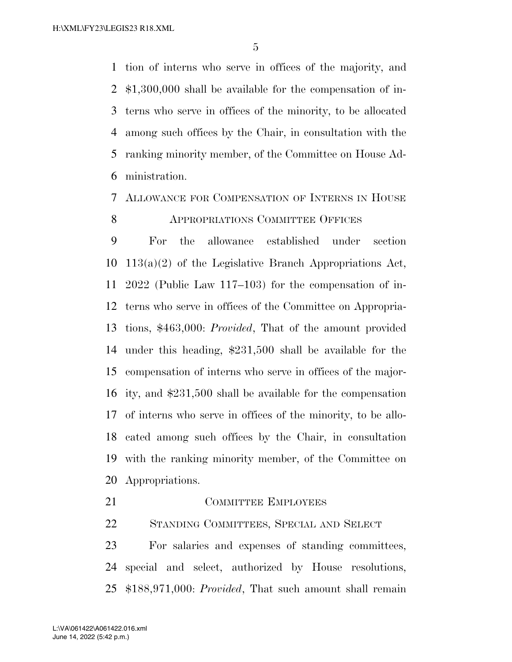tion of interns who serve in offices of the majority, and \$1,300,000 shall be available for the compensation of in- terns who serve in offices of the minority, to be allocated among such offices by the Chair, in consultation with the ranking minority member, of the Committee on House Ad-ministration.

## ALLOWANCE FOR COMPENSATION OF INTERNS IN HOUSE **APPROPRIATIONS COMMITTEE OFFICES**

 For the allowance established under section 113(a)(2) of the Legislative Branch Appropriations Act, 2022 (Public Law 117–103) for the compensation of in- terns who serve in offices of the Committee on Appropria- tions, \$463,000: *Provided*, That of the amount provided under this heading, \$231,500 shall be available for the compensation of interns who serve in offices of the major- ity, and \$231,500 shall be available for the compensation of interns who serve in offices of the minority, to be allo- cated among such offices by the Chair, in consultation with the ranking minority member, of the Committee on Appropriations.

21 COMMITTEE EMPLOYEES

STANDING COMMITTEES, SPECIAL AND SELECT

 For salaries and expenses of standing committees, special and select, authorized by House resolutions, \$188,971,000: *Provided*, That such amount shall remain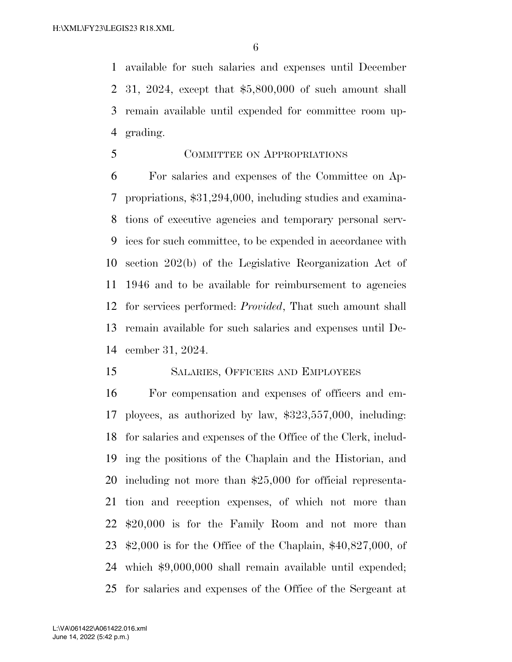available for such salaries and expenses until December 31, 2024, except that \$5,800,000 of such amount shall remain available until expended for committee room up-grading.

COMMITTEE ON APPROPRIATIONS

 For salaries and expenses of the Committee on Ap- propriations, \$31,294,000, including studies and examina- tions of executive agencies and temporary personal serv- ices for such committee, to be expended in accordance with section 202(b) of the Legislative Reorganization Act of 1946 and to be available for reimbursement to agencies for services performed: *Provided*, That such amount shall remain available for such salaries and expenses until De-cember 31, 2024.

## SALARIES, OFFICERS AND EMPLOYEES

 For compensation and expenses of officers and em- ployees, as authorized by law, \$323,557,000, including: for salaries and expenses of the Office of the Clerk, includ- ing the positions of the Chaplain and the Historian, and including not more than \$25,000 for official representa- tion and reception expenses, of which not more than \$20,000 is for the Family Room and not more than \$2,000 is for the Office of the Chaplain, \$40,827,000, of which \$9,000,000 shall remain available until expended; for salaries and expenses of the Office of the Sergeant at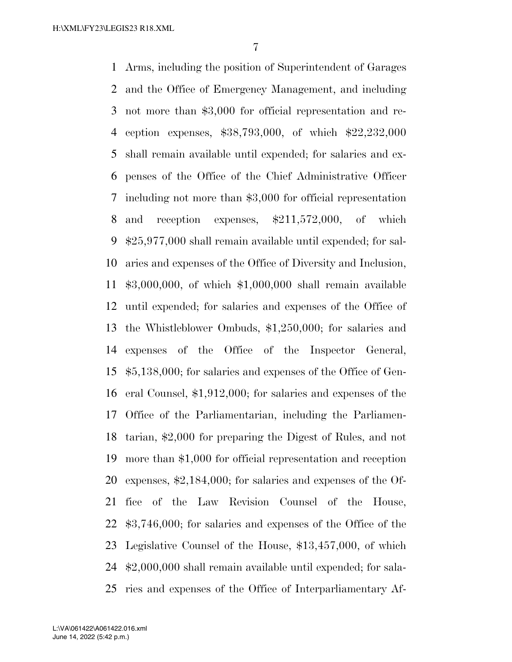Arms, including the position of Superintendent of Garages and the Office of Emergency Management, and including not more than \$3,000 for official representation and re- ception expenses, \$38,793,000, of which \$22,232,000 shall remain available until expended; for salaries and ex- penses of the Office of the Chief Administrative Officer including not more than \$3,000 for official representation 8 and reception expenses,  $\frac{1211,572,000}{5}$ , of which \$25,977,000 shall remain available until expended; for sal- aries and expenses of the Office of Diversity and Inclusion, \$3,000,000, of which \$1,000,000 shall remain available until expended; for salaries and expenses of the Office of the Whistleblower Ombuds, \$1,250,000; for salaries and expenses of the Office of the Inspector General, \$5,138,000; for salaries and expenses of the Office of Gen- eral Counsel, \$1,912,000; for salaries and expenses of the Office of the Parliamentarian, including the Parliamen- tarian, \$2,000 for preparing the Digest of Rules, and not more than \$1,000 for official representation and reception expenses, \$2,184,000; for salaries and expenses of the Of- fice of the Law Revision Counsel of the House, \$3,746,000; for salaries and expenses of the Office of the Legislative Counsel of the House, \$13,457,000, of which \$2,000,000 shall remain available until expended; for sala-ries and expenses of the Office of Interparliamentary Af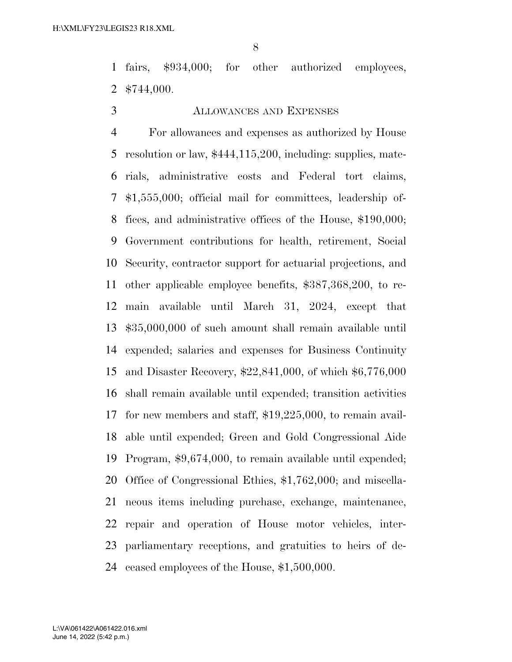fairs, \$934,000; for other authorized employees, \$744,000.

## ALLOWANCES AND EXPENSES

 For allowances and expenses as authorized by House resolution or law, \$444,115,200, including: supplies, mate- rials, administrative costs and Federal tort claims, \$1,555,000; official mail for committees, leadership of- fices, and administrative offices of the House, \$190,000; Government contributions for health, retirement, Social Security, contractor support for actuarial projections, and other applicable employee benefits, \$387,368,200, to re- main available until March 31, 2024, except that \$35,000,000 of such amount shall remain available until expended; salaries and expenses for Business Continuity and Disaster Recovery, \$22,841,000, of which \$6,776,000 shall remain available until expended; transition activities for new members and staff, \$19,225,000, to remain avail- able until expended; Green and Gold Congressional Aide Program, \$9,674,000, to remain available until expended; Office of Congressional Ethics, \$1,762,000; and miscella- neous items including purchase, exchange, maintenance, repair and operation of House motor vehicles, inter- parliamentary receptions, and gratuities to heirs of de-ceased employees of the House, \$1,500,000.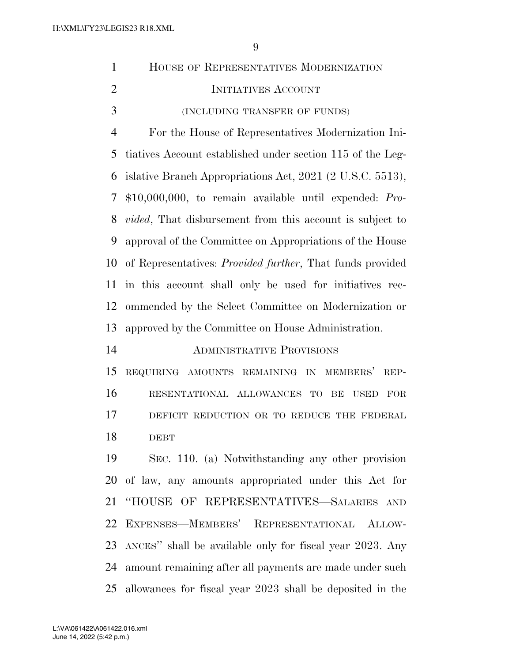| $\mathbf{1}$   | HOUSE OF REPRESENTATIVES MODERNIZATION                            |
|----------------|-------------------------------------------------------------------|
| $\overline{2}$ | INITIATIVES ACCOUNT                                               |
| 3              | (INCLUDING TRANSFER OF FUNDS)                                     |
| $\overline{4}$ | For the House of Representatives Modernization Ini-               |
| 5              | tiatives Account established under section 115 of the Leg-        |
| 6              | islative Branch Appropriations Act, 2021 (2 U.S.C. 5513),         |
| 7              | $$10,000,000,$ to remain available until expended: Pro-           |
| 8              | <i>vided</i> , That disbursement from this account is subject to  |
| 9              | approval of the Committee on Appropriations of the House          |
| 10             | of Representatives: <i>Provided further</i> , That funds provided |
| 11             | in this account shall only be used for initiatives rec-           |
| 12             | ommended by the Select Committee on Modernization or              |
| 13             | approved by the Committee on House Administration.                |
| 14             | <b>ADMINISTRATIVE PROVISIONS</b>                                  |
| 15             | REQUIRING AMOUNTS REMAINING IN MEMBERS'<br>REP-                   |
| 16             | RESENTATIONAL ALLOWANCES TO<br>BE<br>FOR<br><b>USED</b>           |
| 17             | DEFICIT REDUCTION OR TO REDUCE THE FEDERAL                        |
| 18             | <b>DEBT</b>                                                       |
| 19             | SEC. 110. (a) Notwithstanding any other provision                 |
| 20             | of law, any amounts appropriated under this Act for               |
| 21             | "HOUSE OF REPRESENTATIVES-SALARIES AND                            |
| 22             | EXPENSES-MEMBERS' REPRESENTATIONAL ALLOW-                         |
| 23             | ANCES" shall be available only for fiscal year 2023. Any          |
| 24             | amount remaining after all payments are made under such           |
| 25             | allowances for fiscal year 2023 shall be deposited in the         |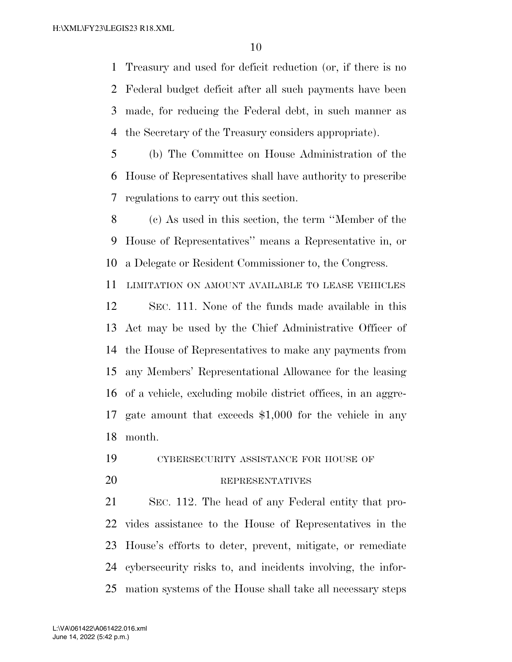Treasury and used for deficit reduction (or, if there is no Federal budget deficit after all such payments have been made, for reducing the Federal debt, in such manner as the Secretary of the Treasury considers appropriate).

 (b) The Committee on House Administration of the House of Representatives shall have authority to prescribe regulations to carry out this section.

 (c) As used in this section, the term ''Member of the House of Representatives'' means a Representative in, or a Delegate or Resident Commissioner to, the Congress.

LIMITATION ON AMOUNT AVAILABLE TO LEASE VEHICLES

 SEC. 111. None of the funds made available in this Act may be used by the Chief Administrative Officer of the House of Representatives to make any payments from any Members' Representational Allowance for the leasing of a vehicle, excluding mobile district offices, in an aggre- gate amount that exceeds \$1,000 for the vehicle in any month.

CYBERSECURITY ASSISTANCE FOR HOUSE OF

#### REPRESENTATIVES

 SEC. 112. The head of any Federal entity that pro- vides assistance to the House of Representatives in the House's efforts to deter, prevent, mitigate, or remediate cybersecurity risks to, and incidents involving, the infor-mation systems of the House shall take all necessary steps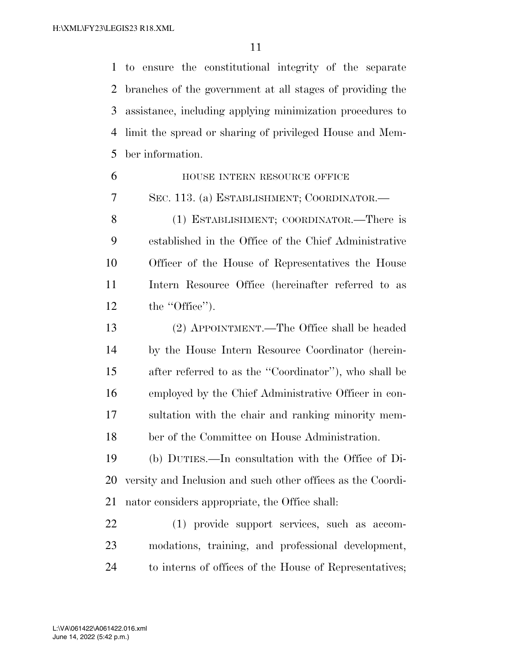to ensure the constitutional integrity of the separate branches of the government at all stages of providing the assistance, including applying minimization procedures to limit the spread or sharing of privileged House and Mem-ber information.

| 6              | HOUSE INTERN RESOURCE OFFICE                                |
|----------------|-------------------------------------------------------------|
| $\overline{7}$ | SEC. 113. (a) ESTABLISHMENT; COORDINATOR.—                  |
| 8              | (1) ESTABLISHMENT; COORDINATOR.-There is                    |
| 9              | established in the Office of the Chief Administrative       |
| 10             | Officer of the House of Representatives the House           |
| 11             | Intern Resource Office (hereinafter referred to as          |
| 12             | the "Office".                                               |
| 13             | (2) APPOINTMENT.—The Office shall be headed                 |
| 14             | by the House Intern Resource Coordinator (herein-           |
| 15             | after referred to as the "Coordinator"), who shall be       |
| 16             | employed by the Chief Administrative Officer in con-        |
| 17             | sultation with the chair and ranking minority mem-          |
| 18             | ber of the Committee on House Administration.               |
| 19             | (b) DUTIES.—In consultation with the Office of Di-          |
| 20             | versity and Inclusion and such other offices as the Coordi- |
| 21             | nator considers appropriate, the Office shall:              |
| 22             | (1) provide support services, such as accom-                |
| 23             | modations, training, and professional development,          |
|                |                                                             |

to interns of offices of the House of Representatives;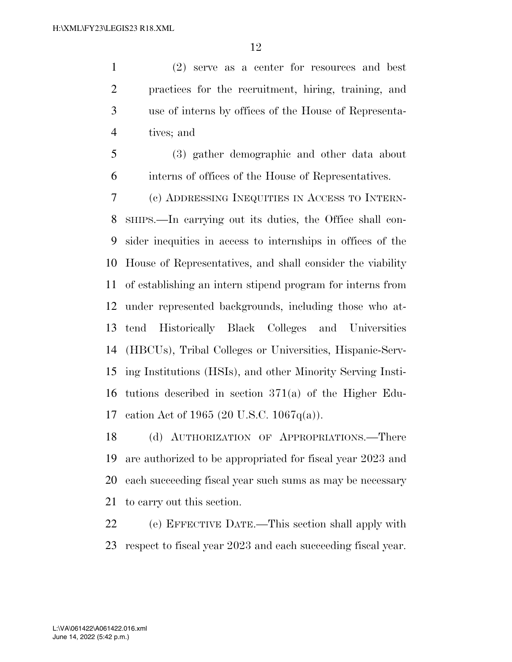(2) serve as a center for resources and best practices for the recruitment, hiring, training, and use of interns by offices of the House of Representa-tives; and

 (3) gather demographic and other data about interns of offices of the House of Representatives.

 (c) ADDRESSING INEQUITIES IN ACCESS TO INTERN- SHIPS.—In carrying out its duties, the Office shall con- sider inequities in access to internships in offices of the House of Representatives, and shall consider the viability of establishing an intern stipend program for interns from under represented backgrounds, including those who at- tend Historically Black Colleges and Universities (HBCUs), Tribal Colleges or Universities, Hispanic-Serv- ing Institutions (HSIs), and other Minority Serving Insti- tutions described in section 371(a) of the Higher Edu-cation Act of 1965 (20 U.S.C. 1067q(a)).

 (d) AUTHORIZATION OF APPROPRIATIONS.—There are authorized to be appropriated for fiscal year 2023 and each succeeding fiscal year such sums as may be necessary to carry out this section.

 (e) EFFECTIVE DATE.—This section shall apply with respect to fiscal year 2023 and each succeeding fiscal year.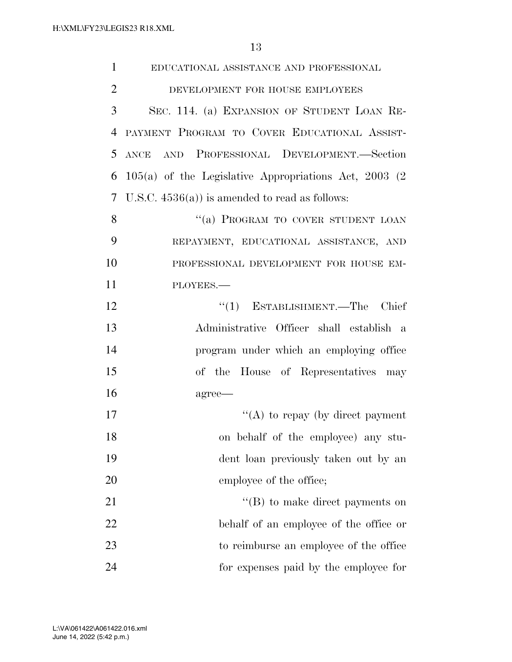| $\mathbf{1}$   | EDUCATIONAL ASSISTANCE AND PROFESSIONAL                  |
|----------------|----------------------------------------------------------|
| $\overline{2}$ | DEVELOPMENT FOR HOUSE EMPLOYEES                          |
| 3              | SEC. 114. (a) EXPANSION OF STUDENT LOAN RE-              |
| 4              | PAYMENT PROGRAM TO COVER EDUCATIONAL ASSIST-             |
| 5              | ANCE AND PROFESSIONAL DEVELOPMENT.-Section               |
| 6              | $105(a)$ of the Legislative Appropriations Act, 2003 (2) |
| 7              | U.S.C. $4536(a)$ is amended to read as follows:          |
| 8              | "(a) PROGRAM TO COVER STUDENT LOAN                       |
| 9              | REPAYMENT, EDUCATIONAL ASSISTANCE, AND                   |
| 10             | PROFESSIONAL DEVELOPMENT FOR HOUSE EM-                   |
| 11             | PLOYEES.-                                                |
| 12             | $\lq(1)$ ESTABLISHMENT.—The Chief                        |
| 13             | Administrative Officer shall establish a                 |
| 14             | program under which an employing office                  |
| 15             | of the House of Representatives may                      |
| 16             | agree—                                                   |
| 17             | "(A) to repay (by direct payment                         |
| 18             | on behalf of the employee) any stu-                      |
| 19             | dent loan previously taken out by an                     |
| 20             | employee of the office;                                  |
| 21             | $\lq\lq$ to make direct payments on                      |
| 22             | behalf of an employee of the office or                   |
| 23             | to reimburse an employee of the office                   |
| 24             | for expenses paid by the employee for                    |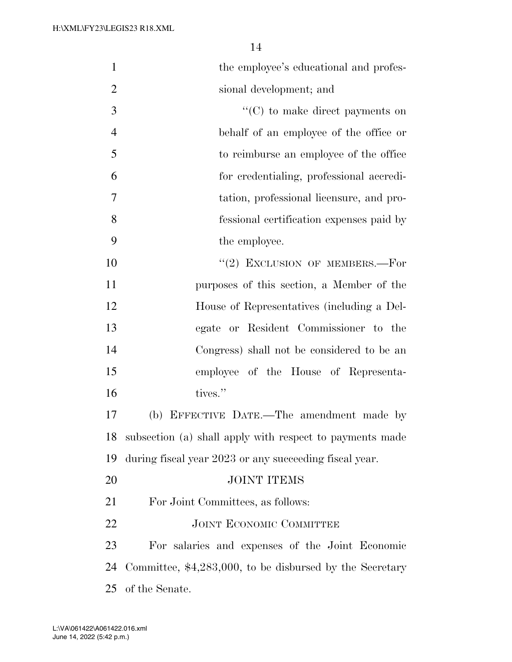| $\mathbf{1}$   | the employee's educational and profes-                   |
|----------------|----------------------------------------------------------|
| $\overline{2}$ | sional development; and                                  |
| 3              | $\lq\lq$ to make direct payments on                      |
| $\overline{4}$ | behalf of an employee of the office or                   |
| 5              | to reimburse an employee of the office                   |
| 6              | for credentialing, professional accredi-                 |
| 7              | tation, professional licensure, and pro-                 |
| 8              | fessional certification expenses paid by                 |
| 9              | the employee.                                            |
| 10             | $"$ (2) EXCLUSION OF MEMBERS.—For                        |
| 11             | purposes of this section, a Member of the                |
| 12             | House of Representatives (including a Del-               |
| 13             | egate or Resident Commissioner to the                    |
| 14             | Congress) shall not be considered to be an               |
| 15             | employee of the House of Representa-                     |
| 16             | tives."                                                  |
| 17             | (b) EFFECTIVE DATE.-The amendment made by                |
| 18             | subsection (a) shall apply with respect to payments made |
| 19             | during fiscal year 2023 or any succeeding fiscal year.   |
| 20             | <b>JOINT ITEMS</b>                                       |
| 21             | For Joint Committees, as follows:                        |
| 22             | <b>JOINT ECONOMIC COMMITTEE</b>                          |
| 23             | For salaries and expenses of the Joint Economic          |
| 24             | Committee, \$4,283,000, to be disbursed by the Secretary |
| 25             | of the Senate.                                           |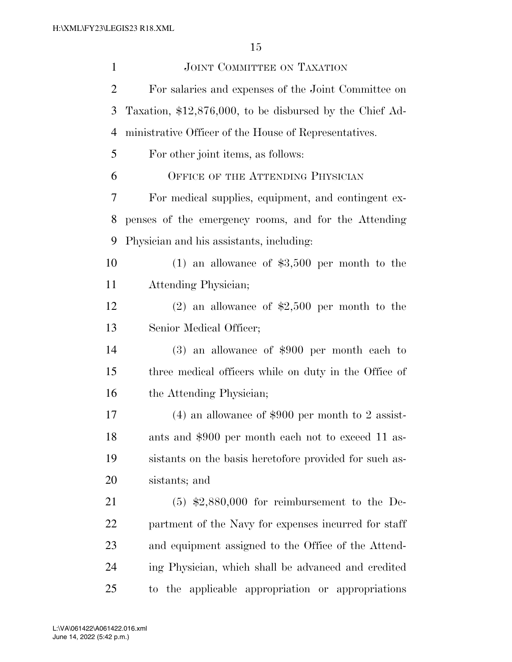| $\mathbf{1}$   | JOINT COMMITTEE ON TAXATION                              |
|----------------|----------------------------------------------------------|
| $\overline{2}$ | For salaries and expenses of the Joint Committee on      |
| 3              | Taxation, \$12,876,000, to be disbursed by the Chief Ad- |
| $\overline{4}$ | ministrative Officer of the House of Representatives.    |
| 5              | For other joint items, as follows:                       |
| 6              | OFFICE OF THE ATTENDING PHYSICIAN                        |
| 7              | For medical supplies, equipment, and contingent ex-      |
| 8              | penses of the emergency rooms, and for the Attending     |
| 9              | Physician and his assistants, including:                 |
| 10             | $(1)$ an allowance of \$3,500 per month to the           |
| 11             | Attending Physician;                                     |
| 12             | $(2)$ an allowance of \$2,500 per month to the           |
| 13             | Senior Medical Officer;                                  |
| 14             | $(3)$ an allowance of \$900 per month each to            |
| 15             | three medical officers while on duty in the Office of    |
| 16             | the Attending Physician;                                 |
| 17             | $(4)$ an allowance of \$900 per month to 2 assist-       |
| 18             | ants and \$900 per month each not to exceed 11 as-       |
| 19             | sistants on the basis heretofore provided for such as-   |
| 20             | sistants; and                                            |
| 21             | $(5)$ \$2,880,000 for reimbursement to the De-           |
| 22             | partment of the Navy for expenses incurred for staff     |
| 23             | and equipment assigned to the Office of the Attend-      |
| 24             | ing Physician, which shall be advanced and credited      |
| 25             | to the applicable appropriation or appropriations        |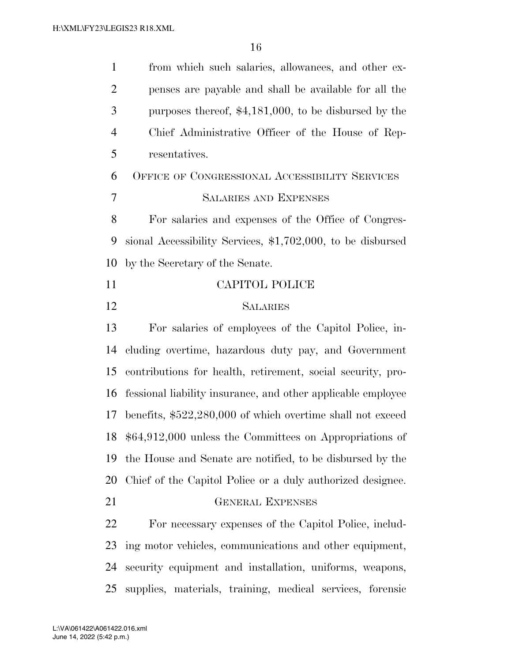| $\mathbf{1}$   | from which such salaries, allowances, and other ex-          |
|----------------|--------------------------------------------------------------|
| $\overline{2}$ | penses are payable and shall be available for all the        |
| 3              | purposes thereof, $$4,181,000$ , to be disbursed by the      |
| 4              | Chief Administrative Officer of the House of Rep-            |
| 5              | resentatives.                                                |
| 6              | OFFICE OF CONGRESSIONAL ACCESSIBILITY SERVICES               |
| 7              | <b>SALARIES AND EXPENSES</b>                                 |
| 8              | For salaries and expenses of the Office of Congres-          |
| 9              | sional Accessibility Services, \$1,702,000, to be disbursed  |
| 10             | by the Secretary of the Senate.                              |
| 11             | CAPITOL POLICE                                               |
| 12             | <b>SALARIES</b>                                              |
| 13             | For salaries of employees of the Capitol Police, in-         |
| 14             | cluding overtime, hazardous duty pay, and Government         |
| 15             | contributions for health, retirement, social security, pro-  |
| 16             | fessional liability insurance, and other applicable employee |
| 17             | benefits, \$522,280,000 of which overtime shall not exceed   |
| 18             | $$64,912,000$ unless the Committees on Appropriations of     |
| 19             | the House and Senate are notified, to be disbursed by the    |
| 20             | Chief of the Capitol Police or a duly authorized designee.   |
| 21             | <b>GENERAL EXPENSES</b>                                      |
| 22             | For necessary expenses of the Capitol Police, includ-        |
| 23             | ing motor vehicles, communications and other equipment,      |
| 24             | security equipment and installation, uniforms, weapons,      |
| 25             | supplies, materials, training, medical services, forensic    |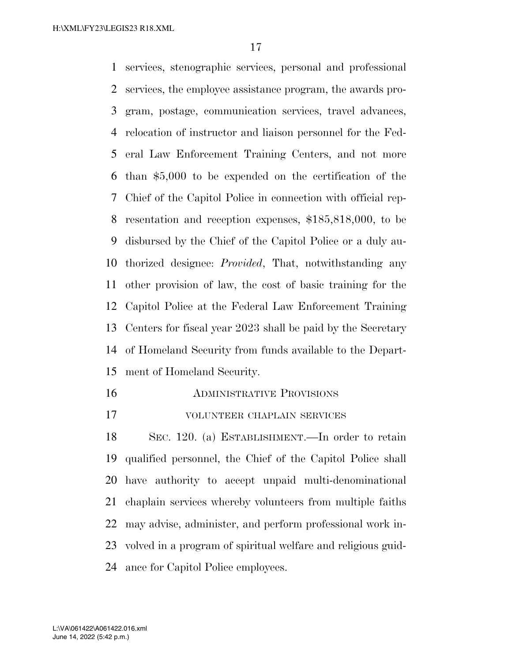services, stenographic services, personal and professional services, the employee assistance program, the awards pro- gram, postage, communication services, travel advances, relocation of instructor and liaison personnel for the Fed- eral Law Enforcement Training Centers, and not more than \$5,000 to be expended on the certification of the Chief of the Capitol Police in connection with official rep- resentation and reception expenses, \$185,818,000, to be disbursed by the Chief of the Capitol Police or a duly au- thorized designee: *Provided*, That, notwithstanding any other provision of law, the cost of basic training for the Capitol Police at the Federal Law Enforcement Training Centers for fiscal year 2023 shall be paid by the Secretary of Homeland Security from funds available to the Depart-ment of Homeland Security.

- ADMINISTRATIVE PROVISIONS
- VOLUNTEER CHAPLAIN SERVICES

 SEC. 120. (a) ESTABLISHMENT.—In order to retain qualified personnel, the Chief of the Capitol Police shall have authority to accept unpaid multi-denominational chaplain services whereby volunteers from multiple faiths may advise, administer, and perform professional work in- volved in a program of spiritual welfare and religious guid-ance for Capitol Police employees.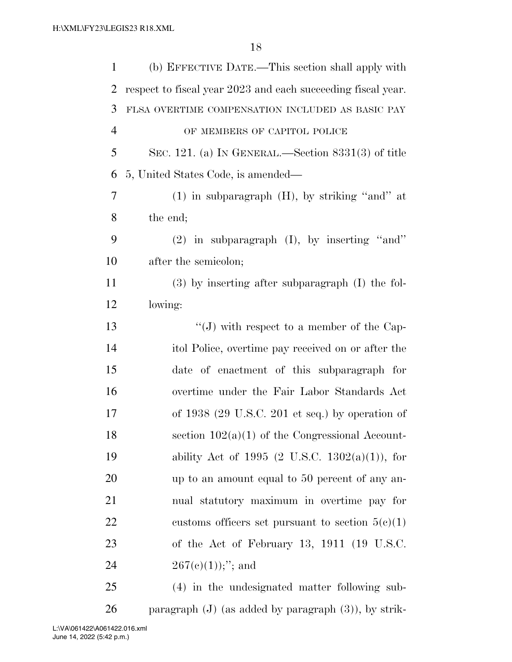| $\mathbf{1}$   | (b) EFFECTIVE DATE.—This section shall apply with            |  |  |  |  |
|----------------|--------------------------------------------------------------|--|--|--|--|
| $\overline{2}$ | respect to fiscal year 2023 and each succeeding fiscal year. |  |  |  |  |
| 3              | FLSA OVERTIME COMPENSATION INCLUDED AS BASIC PAY             |  |  |  |  |
| $\overline{4}$ | OF MEMBERS OF CAPITOL POLICE                                 |  |  |  |  |
| 5              | SEC. 121. (a) IN GENERAL.—Section $8331(3)$ of title         |  |  |  |  |
| 6              | 5, United States Code, is amended—                           |  |  |  |  |
| $\tau$         | $(1)$ in subparagraph $(H)$ , by striking "and" at           |  |  |  |  |
| 8              | the end;                                                     |  |  |  |  |
| 9              | $(2)$ in subparagraph $(I)$ , by inserting "and"             |  |  |  |  |
| 10             | after the semicolon;                                         |  |  |  |  |
| 11             | $(3)$ by inserting after subparagraph $(I)$ the fol-         |  |  |  |  |
| 12             | lowing:                                                      |  |  |  |  |
| 13             | "(J) with respect to a member of the Cap-                    |  |  |  |  |
| 14             | ital Police, overtime pay received on or after the           |  |  |  |  |
| 15             | date of enactment of this subparagraph for                   |  |  |  |  |
| 16             | overtime under the Fair Labor Standards Act                  |  |  |  |  |
| 17             | of 1938 (29 U.S.C. 201 et seq.) by operation of              |  |  |  |  |
| 18             | section $102(a)(1)$ of the Congressional Account-            |  |  |  |  |
| 19             | ability Act of 1995 (2 U.S.C. 1302(a)(1)), for               |  |  |  |  |
| 20             | up to an amount equal to 50 percent of any an-               |  |  |  |  |
| 21             | nual statutory maximum in overtime pay for                   |  |  |  |  |
| 22             | customs officers set pursuant to section $5(e)(1)$           |  |  |  |  |
| 23             | of the Act of February 13, 1911 (19 U.S.C.                   |  |  |  |  |
| 24             | $267(e)(1));$ "; and                                         |  |  |  |  |
| 25             | (4) in the undesignated matter following sub-                |  |  |  |  |
|                |                                                              |  |  |  |  |

paragraph (J) (as added by paragraph (3)), by strik-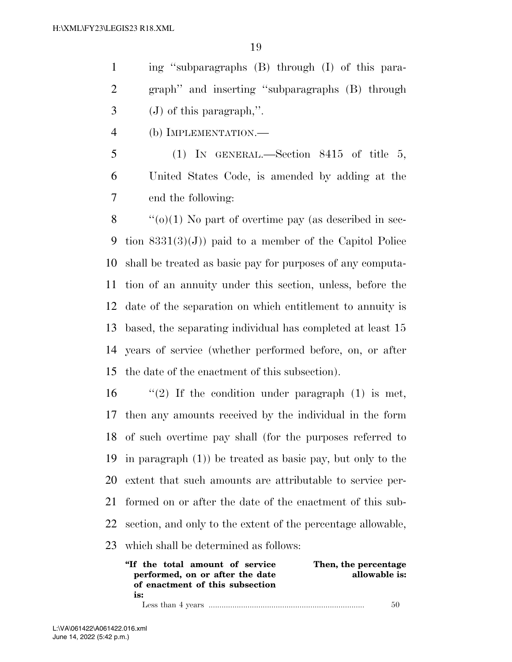ing ''subparagraphs (B) through (I) of this para- graph'' and inserting ''subparagraphs (B) through (J) of this paragraph,''.

(b) IMPLEMENTATION.—

 (1) IN GENERAL.—Section 8415 of title 5, United States Code, is amended by adding at the end the following:

 $\langle \langle 0 \rangle (1)$  No part of overtime pay (as described in sec-9 tion  $8331(3)(J)$  paid to a member of the Capitol Police shall be treated as basic pay for purposes of any computa- tion of an annuity under this section, unless, before the date of the separation on which entitlement to annuity is based, the separating individual has completed at least 15 years of service (whether performed before, on, or after the date of the enactment of this subsection).

 $\frac{1}{2}$  If the condition under paragraph (1) is met, then any amounts received by the individual in the form of such overtime pay shall (for the purposes referred to in paragraph (1)) be treated as basic pay, but only to the extent that such amounts are attributable to service per- formed on or after the date of the enactment of this sub- section, and only to the extent of the percentage allowable, which shall be determined as follows:

| "If the total amount of service" | Then, the percentage |
|----------------------------------|----------------------|
| performed, on or after the date  | allowable is:        |
| of enactment of this subsection  |                      |
| is:                              |                      |
|                                  | 50                   |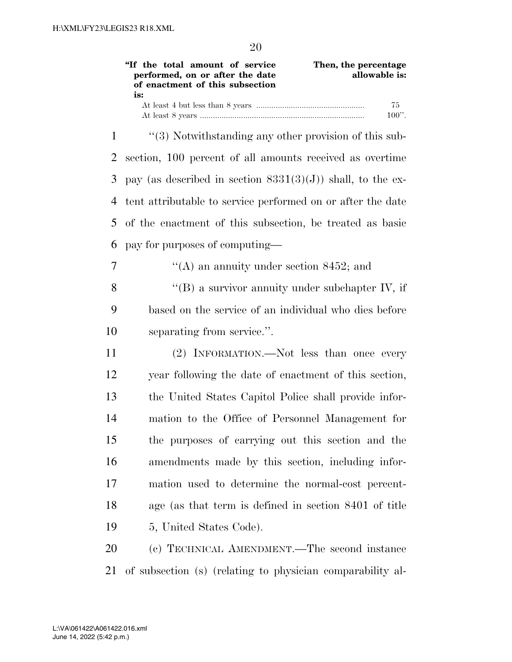**''If the total amount of service performed, on or after the date of enactment of this subsection is: Then, the percentage allowable is:**  At least 4 but less than 8 years .................................................. 75 At least 8 years ............................................................................ 100''. 1 ''(3) Notwithstanding any other provision of this sub-2 section, 100 percent of all amounts received as overtime 3 pay (as described in section  $8331(3)(J)$ ) shall, to the ex-4 tent attributable to service performed on or after the date 5 of the enactment of this subsection, be treated as basic 6 pay for purposes of computing—  $\gamma$  ''(A) an annuity under section 8452; and 8 "(B) a survivor annuity under subchapter IV, if 9 based on the service of an individual who dies before

10 separating from service.''.

 (2) INFORMATION.—Not less than once every year following the date of enactment of this section, the United States Capitol Police shall provide infor- mation to the Office of Personnel Management for the purposes of carrying out this section and the amendments made by this section, including infor- mation used to determine the normal-cost percent- age (as that term is defined in section 8401 of title 5, United States Code).

20 (c) TECHNICAL AMENDMENT.—The second instance 21 of subsection (s) (relating to physician comparability al-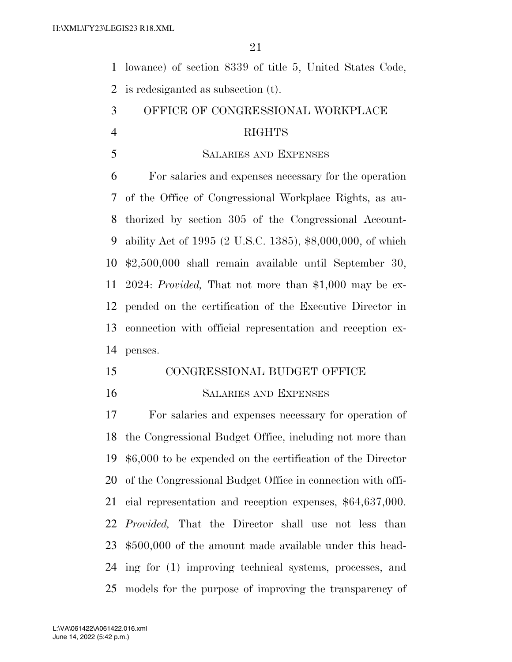lowance) of section 8339 of title 5, United States Code, is redesiganted as subsection (t).

- OFFICE OF CONGRESSIONAL WORKPLACE RIGHTS
- SALARIES AND EXPENSES

 For salaries and expenses necessary for the operation of the Office of Congressional Workplace Rights, as au- thorized by section 305 of the Congressional Account- ability Act of 1995 (2 U.S.C. 1385), \$8,000,000, of which \$2,500,000 shall remain available until September 30, 2024: *Provided,* That not more than \$1,000 may be ex- pended on the certification of the Executive Director in connection with official representation and reception ex-penses.

- CONGRESSIONAL BUDGET OFFICE
- 

#### SALARIES AND EXPENSES

 For salaries and expenses necessary for operation of the Congressional Budget Office, including not more than \$6,000 to be expended on the certification of the Director of the Congressional Budget Office in connection with offi- cial representation and reception expenses, \$64,637,000. *Provided,* That the Director shall use not less than \$500,000 of the amount made available under this head- ing for (1) improving technical systems, processes, and models for the purpose of improving the transparency of

June 14, 2022 (5:42 p.m.) L:\VA\061422\A061422.016.xml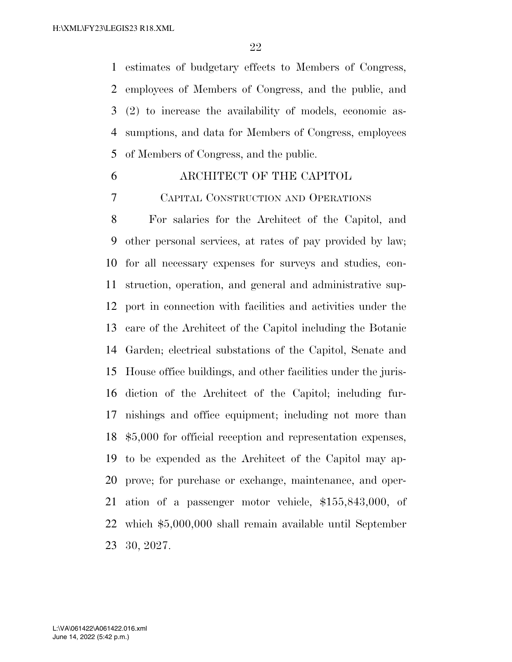estimates of budgetary effects to Members of Congress, employees of Members of Congress, and the public, and (2) to increase the availability of models, economic as- sumptions, and data for Members of Congress, employees of Members of Congress, and the public.

## ARCHITECT OF THE CAPITOL

CAPITAL CONSTRUCTION AND OPERATIONS

 For salaries for the Architect of the Capitol, and other personal services, at rates of pay provided by law; for all necessary expenses for surveys and studies, con- struction, operation, and general and administrative sup- port in connection with facilities and activities under the care of the Architect of the Capitol including the Botanic Garden; electrical substations of the Capitol, Senate and House office buildings, and other facilities under the juris- diction of the Architect of the Capitol; including fur- nishings and office equipment; including not more than \$5,000 for official reception and representation expenses, to be expended as the Architect of the Capitol may ap- prove; for purchase or exchange, maintenance, and oper- ation of a passenger motor vehicle, \$155,843,000, of which \$5,000,000 shall remain available until September 30, 2027.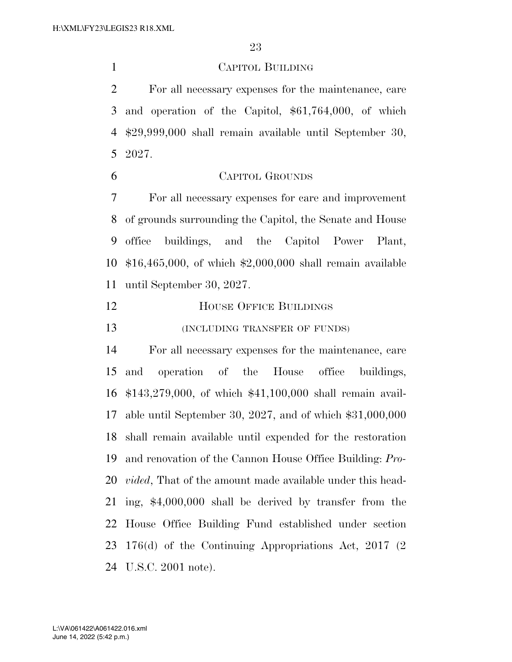CAPITOL BUILDING

 For all necessary expenses for the maintenance, care and operation of the Capitol, \$61,764,000, of which \$29,999,000 shall remain available until September 30, 2027.

 CAPITOL GROUNDS For all necessary expenses for care and improvement

 of grounds surrounding the Capitol, the Senate and House office buildings, and the Capitol Power Plant, \$16,465,000, of which \$2,000,000 shall remain available until September 30, 2027.

- **HOUSE OFFICE BUILDINGS**
- **(INCLUDING TRANSFER OF FUNDS)**

 For all necessary expenses for the maintenance, care and operation of the House office buildings, \$143,279,000, of which \$41,100,000 shall remain avail- able until September 30, 2027, and of which \$31,000,000 shall remain available until expended for the restoration and renovation of the Cannon House Office Building: *Pro- vided*, That of the amount made available under this head- ing, \$4,000,000 shall be derived by transfer from the House Office Building Fund established under section 176(d) of the Continuing Appropriations Act, 2017 (2 U.S.C. 2001 note).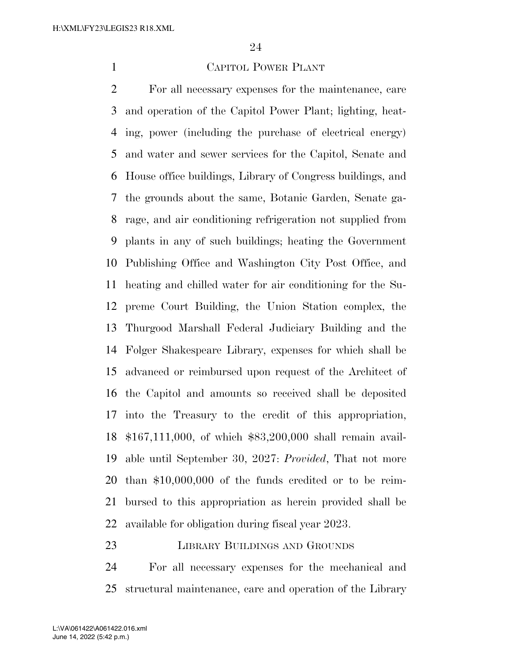## CAPITOL POWER PLANT

 For all necessary expenses for the maintenance, care and operation of the Capitol Power Plant; lighting, heat- ing, power (including the purchase of electrical energy) and water and sewer services for the Capitol, Senate and House office buildings, Library of Congress buildings, and the grounds about the same, Botanic Garden, Senate ga- rage, and air conditioning refrigeration not supplied from plants in any of such buildings; heating the Government Publishing Office and Washington City Post Office, and heating and chilled water for air conditioning for the Su- preme Court Building, the Union Station complex, the Thurgood Marshall Federal Judiciary Building and the Folger Shakespeare Library, expenses for which shall be advanced or reimbursed upon request of the Architect of the Capitol and amounts so received shall be deposited into the Treasury to the credit of this appropriation, \$167,111,000, of which \$83,200,000 shall remain avail- able until September 30, 2027: *Provided*, That not more than \$10,000,000 of the funds credited or to be reim- bursed to this appropriation as herein provided shall be available for obligation during fiscal year 2023.

## LIBRARY BUILDINGS AND GROUNDS

 For all necessary expenses for the mechanical and structural maintenance, care and operation of the Library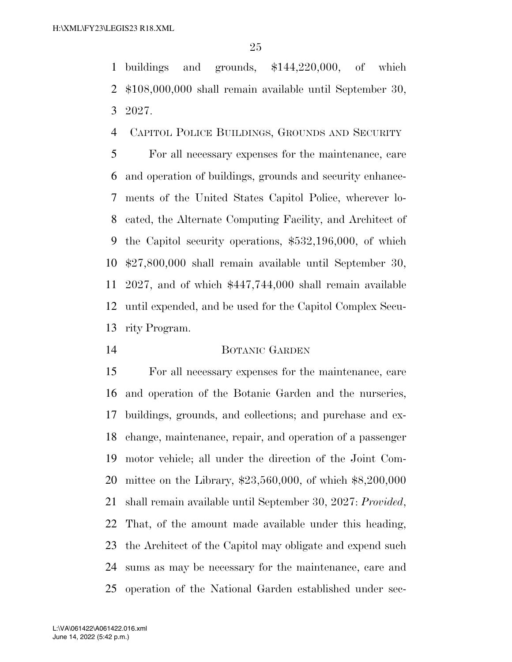buildings and grounds, \$144,220,000, of which \$108,000,000 shall remain available until September 30, 2027.

CAPITOL POLICE BUILDINGS, GROUNDS AND SECURITY

 For all necessary expenses for the maintenance, care and operation of buildings, grounds and security enhance- ments of the United States Capitol Police, wherever lo- cated, the Alternate Computing Facility, and Architect of the Capitol security operations, \$532,196,000, of which \$27,800,000 shall remain available until September 30, 2027, and of which \$447,744,000 shall remain available until expended, and be used for the Capitol Complex Secu-rity Program.

## BOTANIC GARDEN

 For all necessary expenses for the maintenance, care and operation of the Botanic Garden and the nurseries, buildings, grounds, and collections; and purchase and ex- change, maintenance, repair, and operation of a passenger motor vehicle; all under the direction of the Joint Com- mittee on the Library, \$23,560,000, of which \$8,200,000 shall remain available until September 30, 2027: *Provided*, That, of the amount made available under this heading, the Architect of the Capitol may obligate and expend such sums as may be necessary for the maintenance, care and operation of the National Garden established under sec-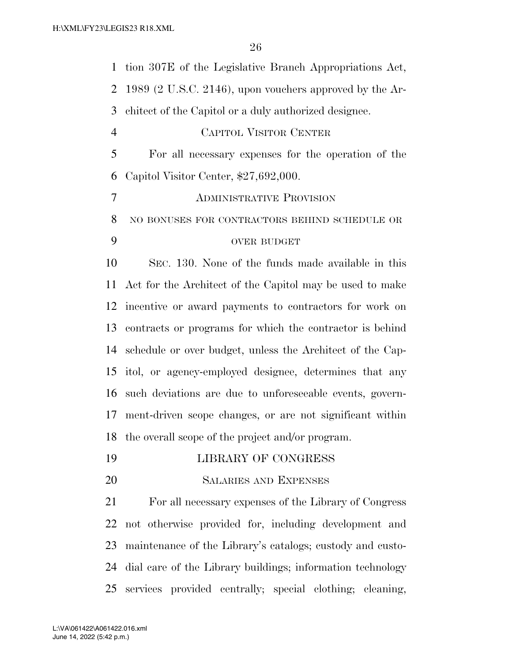tion 307E of the Legislative Branch Appropriations Act, 1989 (2 U.S.C. 2146), upon vouchers approved by the Ar- chitect of the Capitol or a duly authorized designee. CAPITOL VISITOR CENTER For all necessary expenses for the operation of the Capitol Visitor Center, \$27,692,000. ADMINISTRATIVE PROVISION NO BONUSES FOR CONTRACTORS BEHIND SCHEDULE OR OVER BUDGET SEC. 130. None of the funds made available in this Act for the Architect of the Capitol may be used to make incentive or award payments to contractors for work on contracts or programs for which the contractor is behind schedule or over budget, unless the Architect of the Cap- itol, or agency-employed designee, determines that any such deviations are due to unforeseeable events, govern- ment-driven scope changes, or are not significant within the overall scope of the project and/or program. LIBRARY OF CONGRESS SALARIES AND EXPENSES For all necessary expenses of the Library of Congress not otherwise provided for, including development and maintenance of the Library's catalogs; custody and custo- dial care of the Library buildings; information technology services provided centrally; special clothing; cleaning,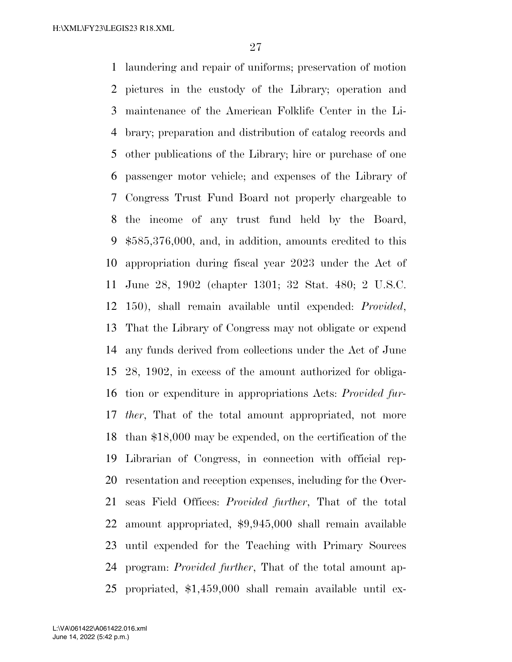laundering and repair of uniforms; preservation of motion pictures in the custody of the Library; operation and maintenance of the American Folklife Center in the Li- brary; preparation and distribution of catalog records and other publications of the Library; hire or purchase of one passenger motor vehicle; and expenses of the Library of Congress Trust Fund Board not properly chargeable to the income of any trust fund held by the Board, \$585,376,000, and, in addition, amounts credited to this appropriation during fiscal year 2023 under the Act of June 28, 1902 (chapter 1301; 32 Stat. 480; 2 U.S.C. 150), shall remain available until expended: *Provided*, That the Library of Congress may not obligate or expend any funds derived from collections under the Act of June 28, 1902, in excess of the amount authorized for obliga- tion or expenditure in appropriations Acts: *Provided fur- ther*, That of the total amount appropriated, not more than \$18,000 may be expended, on the certification of the Librarian of Congress, in connection with official rep- resentation and reception expenses, including for the Over- seas Field Offices: *Provided further*, That of the total amount appropriated, \$9,945,000 shall remain available until expended for the Teaching with Primary Sources program: *Provided further*, That of the total amount ap-propriated, \$1,459,000 shall remain available until ex-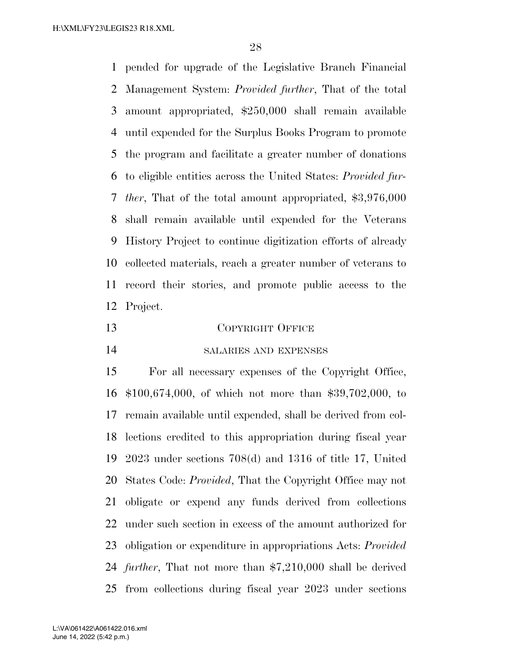pended for upgrade of the Legislative Branch Financial Management System: *Provided further*, That of the total amount appropriated, \$250,000 shall remain available until expended for the Surplus Books Program to promote the program and facilitate a greater number of donations to eligible entities across the United States: *Provided fur- ther*, That of the total amount appropriated, \$3,976,000 shall remain available until expended for the Veterans History Project to continue digitization efforts of already collected materials, reach a greater number of veterans to record their stories, and promote public access to the Project.

 COPYRIGHT OFFICE SALARIES AND EXPENSES

 For all necessary expenses of the Copyright Office, \$100,674,000, of which not more than \$39,702,000, to remain available until expended, shall be derived from col- lections credited to this appropriation during fiscal year 2023 under sections 708(d) and 1316 of title 17, United States Code: *Provided*, That the Copyright Office may not obligate or expend any funds derived from collections under such section in excess of the amount authorized for obligation or expenditure in appropriations Acts: *Provided further*, That not more than \$7,210,000 shall be derived from collections during fiscal year 2023 under sections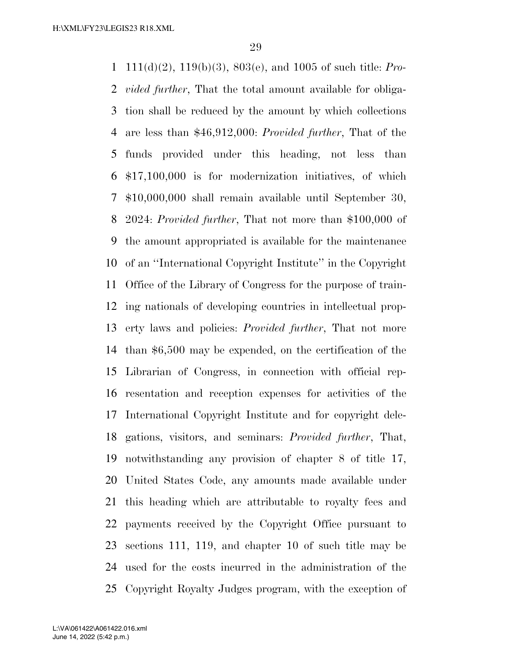111(d)(2), 119(b)(3), 803(e), and 1005 of such title: *Pro- vided further*, That the total amount available for obliga- tion shall be reduced by the amount by which collections are less than \$46,912,000: *Provided further*, That of the funds provided under this heading, not less than \$17,100,000 is for modernization initiatives, of which \$10,000,000 shall remain available until September 30, 2024: *Provided further*, That not more than \$100,000 of the amount appropriated is available for the maintenance of an ''International Copyright Institute'' in the Copyright Office of the Library of Congress for the purpose of train- ing nationals of developing countries in intellectual prop- erty laws and policies: *Provided further*, That not more than \$6,500 may be expended, on the certification of the Librarian of Congress, in connection with official rep- resentation and reception expenses for activities of the International Copyright Institute and for copyright dele- gations, visitors, and seminars: *Provided further*, That, notwithstanding any provision of chapter 8 of title 17, United States Code, any amounts made available under this heading which are attributable to royalty fees and payments received by the Copyright Office pursuant to sections 111, 119, and chapter 10 of such title may be used for the costs incurred in the administration of the Copyright Royalty Judges program, with the exception of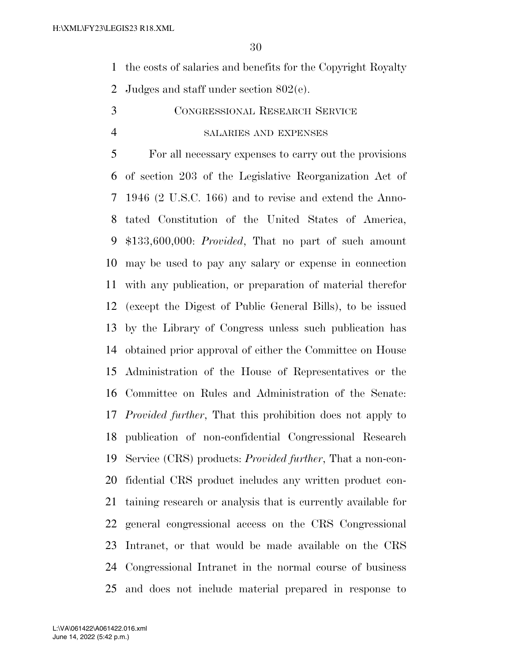- the costs of salaries and benefits for the Copyright Royalty
- Judges and staff under section 802(e).
- CONGRESSIONAL RESEARCH SERVICE

## SALARIES AND EXPENSES

 For all necessary expenses to carry out the provisions of section 203 of the Legislative Reorganization Act of 1946 (2 U.S.C. 166) and to revise and extend the Anno- tated Constitution of the United States of America, \$133,600,000: *Provided*, That no part of such amount may be used to pay any salary or expense in connection with any publication, or preparation of material therefor (except the Digest of Public General Bills), to be issued by the Library of Congress unless such publication has obtained prior approval of either the Committee on House Administration of the House of Representatives or the Committee on Rules and Administration of the Senate: *Provided further*, That this prohibition does not apply to publication of non-confidential Congressional Research Service (CRS) products: *Provided further*, That a non-con- fidential CRS product includes any written product con- taining research or analysis that is currently available for general congressional access on the CRS Congressional Intranet, or that would be made available on the CRS Congressional Intranet in the normal course of business and does not include material prepared in response to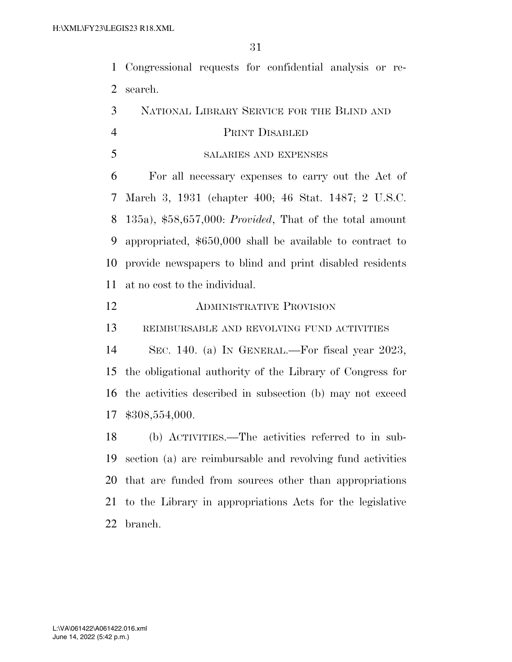Congressional requests for confidential analysis or re-search.

NATIONAL LIBRARY SERVICE FOR THE BLIND AND

## PRINT DISABLED

SALARIES AND EXPENSES

 For all necessary expenses to carry out the Act of March 3, 1931 (chapter 400; 46 Stat. 1487; 2 U.S.C. 135a), \$58,657,000: *Provided*, That of the total amount appropriated, \$650,000 shall be available to contract to provide newspapers to blind and print disabled residents at no cost to the individual.

## ADMINISTRATIVE PROVISION

REIMBURSABLE AND REVOLVING FUND ACTIVITIES

 SEC. 140. (a) IN GENERAL.—For fiscal year 2023, the obligational authority of the Library of Congress for the activities described in subsection (b) may not exceed \$308,554,000.

 (b) ACTIVITIES.—The activities referred to in sub- section (a) are reimbursable and revolving fund activities that are funded from sources other than appropriations to the Library in appropriations Acts for the legislative branch.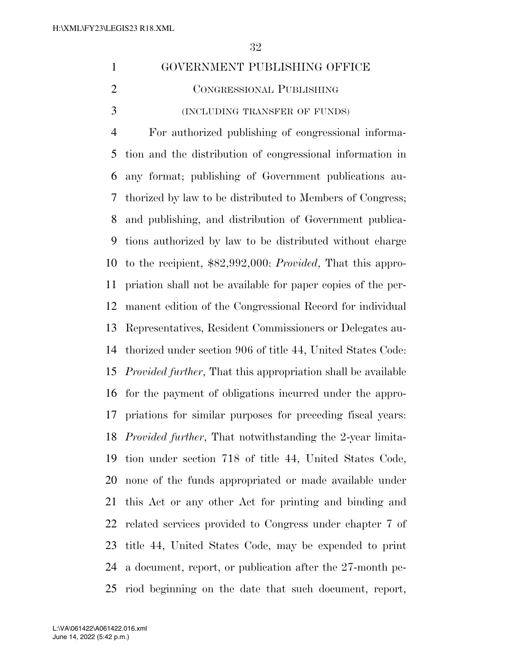| 1 | GOVERNMENT PUBLISHING OFFICE  |
|---|-------------------------------|
| 2 | CONGRESSIONAL PUBLISHING      |
| 3 | (INCLUDING TRANSFER OF FUNDS) |

 For authorized publishing of congressional informa- tion and the distribution of congressional information in any format; publishing of Government publications au- thorized by law to be distributed to Members of Congress; and publishing, and distribution of Government publica- tions authorized by law to be distributed without charge to the recipient, \$82,992,000: *Provided*, That this appro- priation shall not be available for paper copies of the per- manent edition of the Congressional Record for individual Representatives, Resident Commissioners or Delegates au- thorized under section 906 of title 44, United States Code: *Provided further*, That this appropriation shall be available for the payment of obligations incurred under the appro- priations for similar purposes for preceding fiscal years: *Provided further*, That notwithstanding the 2-year limita- tion under section 718 of title 44, United States Code, none of the funds appropriated or made available under this Act or any other Act for printing and binding and related services provided to Congress under chapter 7 of title 44, United States Code, may be expended to print a document, report, or publication after the 27-month pe-riod beginning on the date that such document, report,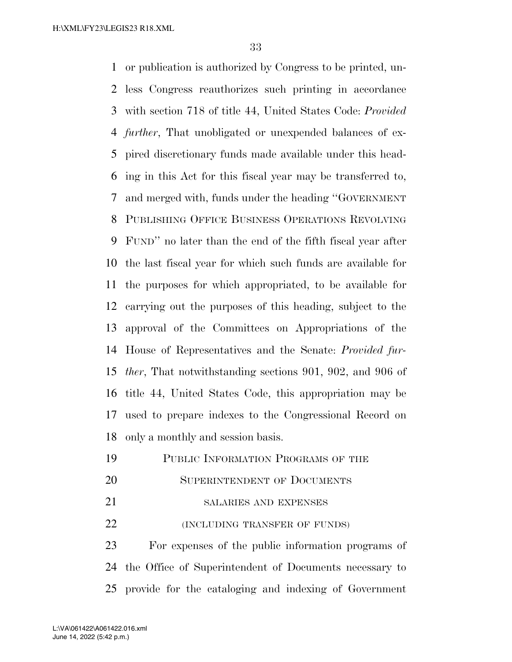H:\XML\FY23\LEGIS23 R18.XML

 or publication is authorized by Congress to be printed, un- less Congress reauthorizes such printing in accordance with section 718 of title 44, United States Code: *Provided further*, That unobligated or unexpended balances of ex- pired discretionary funds made available under this head- ing in this Act for this fiscal year may be transferred to, and merged with, funds under the heading ''GOVERNMENT PUBLISHING OFFICE BUSINESS OPERATIONS REVOLVING FUND'' no later than the end of the fifth fiscal year after the last fiscal year for which such funds are available for the purposes for which appropriated, to be available for carrying out the purposes of this heading, subject to the approval of the Committees on Appropriations of the House of Representatives and the Senate: *Provided fur- ther*, That notwithstanding sections 901, 902, and 906 of title 44, United States Code, this appropriation may be used to prepare indexes to the Congressional Record on only a monthly and session basis.

- PUBLIC INFORMATION PROGRAMS OF THE
- 20 SUPERINTENDENT OF DOCUMENTS
- 21 SALARIES AND EXPENSES
- **(INCLUDING TRANSFER OF FUNDS)**

 For expenses of the public information programs of the Office of Superintendent of Documents necessary to provide for the cataloging and indexing of Government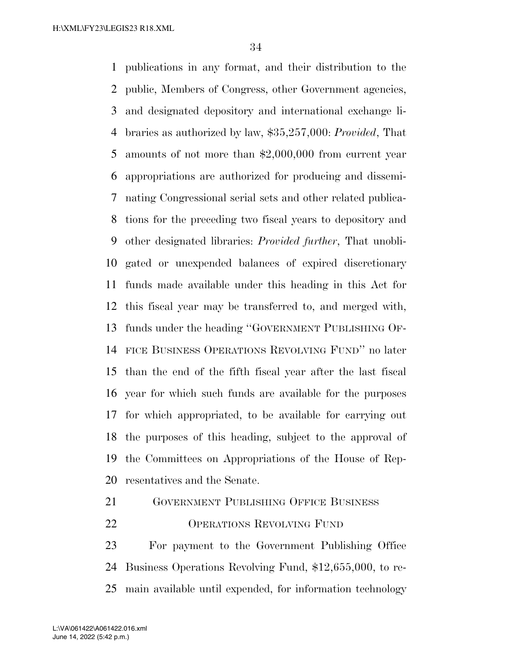publications in any format, and their distribution to the public, Members of Congress, other Government agencies, and designated depository and international exchange li- braries as authorized by law, \$35,257,000: *Provided*, That amounts of not more than \$2,000,000 from current year appropriations are authorized for producing and dissemi- nating Congressional serial sets and other related publica- tions for the preceding two fiscal years to depository and other designated libraries: *Provided further*, That unobli- gated or unexpended balances of expired discretionary funds made available under this heading in this Act for this fiscal year may be transferred to, and merged with, funds under the heading ''GOVERNMENT PUBLISHING OF- FICE BUSINESS OPERATIONS REVOLVING FUND'' no later than the end of the fifth fiscal year after the last fiscal year for which such funds are available for the purposes for which appropriated, to be available for carrying out the purposes of this heading, subject to the approval of the Committees on Appropriations of the House of Rep-resentatives and the Senate.

GOVERNMENT PUBLISHING OFFICE BUSINESS

OPERATIONS REVOLVING FUND

 For payment to the Government Publishing Office Business Operations Revolving Fund, \$12,655,000, to re-main available until expended, for information technology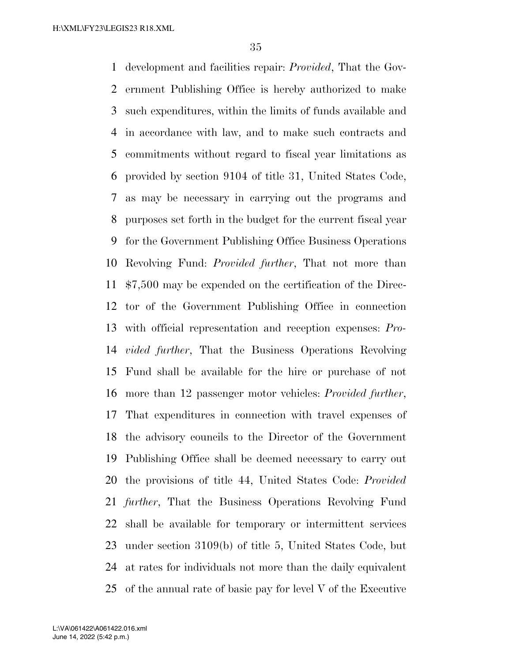development and facilities repair: *Provided*, That the Gov- ernment Publishing Office is hereby authorized to make such expenditures, within the limits of funds available and in accordance with law, and to make such contracts and commitments without regard to fiscal year limitations as provided by section 9104 of title 31, United States Code, as may be necessary in carrying out the programs and purposes set forth in the budget for the current fiscal year for the Government Publishing Office Business Operations Revolving Fund: *Provided further*, That not more than \$7,500 may be expended on the certification of the Direc- tor of the Government Publishing Office in connection with official representation and reception expenses: *Pro- vided further*, That the Business Operations Revolving Fund shall be available for the hire or purchase of not more than 12 passenger motor vehicles: *Provided further*, That expenditures in connection with travel expenses of the advisory councils to the Director of the Government Publishing Office shall be deemed necessary to carry out the provisions of title 44, United States Code: *Provided further*, That the Business Operations Revolving Fund shall be available for temporary or intermittent services under section 3109(b) of title 5, United States Code, but at rates for individuals not more than the daily equivalent of the annual rate of basic pay for level V of the Executive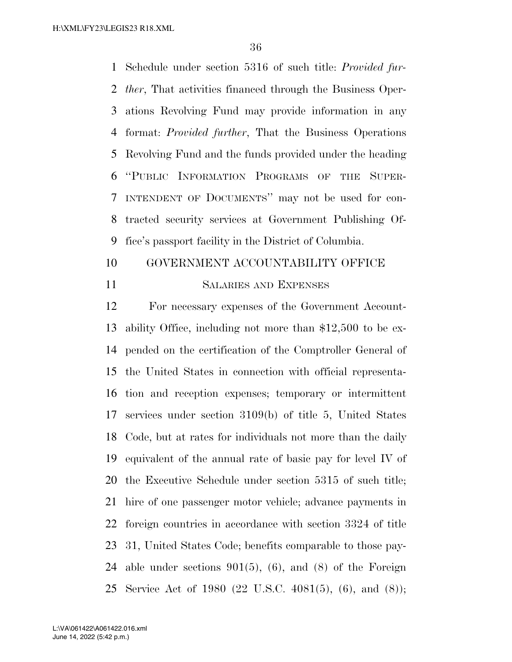Schedule under section 5316 of such title: *Provided fur- ther*, That activities financed through the Business Oper- ations Revolving Fund may provide information in any format: *Provided further*, That the Business Operations Revolving Fund and the funds provided under the heading ''PUBLIC INFORMATION PROGRAMS OF THE SUPER- INTENDENT OF DOCUMENTS'' may not be used for con- tracted security services at Government Publishing Of-fice's passport facility in the District of Columbia.

## 10 GOVERNMENT ACCOUNTABILITY OFFICE

## SALARIES AND EXPENSES

 For necessary expenses of the Government Account- ability Office, including not more than \$12,500 to be ex- pended on the certification of the Comptroller General of the United States in connection with official representa- tion and reception expenses; temporary or intermittent services under section 3109(b) of title 5, United States Code, but at rates for individuals not more than the daily equivalent of the annual rate of basic pay for level IV of the Executive Schedule under section 5315 of such title; hire of one passenger motor vehicle; advance payments in foreign countries in accordance with section 3324 of title 31, United States Code; benefits comparable to those pay- able under sections 901(5), (6), and (8) of the Foreign Service Act of 1980 (22 U.S.C. 4081(5), (6), and (8));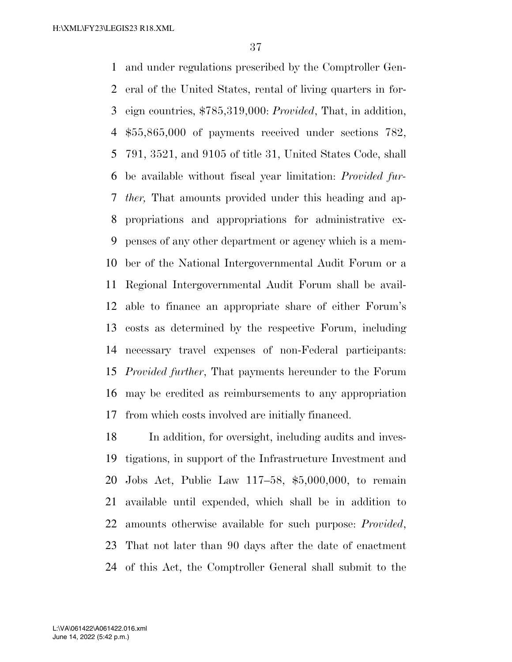and under regulations prescribed by the Comptroller Gen- eral of the United States, rental of living quarters in for- eign countries, \$785,319,000: *Provided*, That, in addition, \$55,865,000 of payments received under sections 782, 791, 3521, and 9105 of title 31, United States Code, shall be available without fiscal year limitation: *Provided fur- ther,* That amounts provided under this heading and ap- propriations and appropriations for administrative ex- penses of any other department or agency which is a mem- ber of the National Intergovernmental Audit Forum or a Regional Intergovernmental Audit Forum shall be avail- able to finance an appropriate share of either Forum's costs as determined by the respective Forum, including necessary travel expenses of non-Federal participants: *Provided further*, That payments hereunder to the Forum may be credited as reimbursements to any appropriation from which costs involved are initially financed.

 In addition, for oversight, including audits and inves- tigations, in support of the Infrastructure Investment and Jobs Act, Public Law 117–58, \$5,000,000, to remain available until expended, which shall be in addition to amounts otherwise available for such purpose: *Provided*, That not later than 90 days after the date of enactment of this Act, the Comptroller General shall submit to the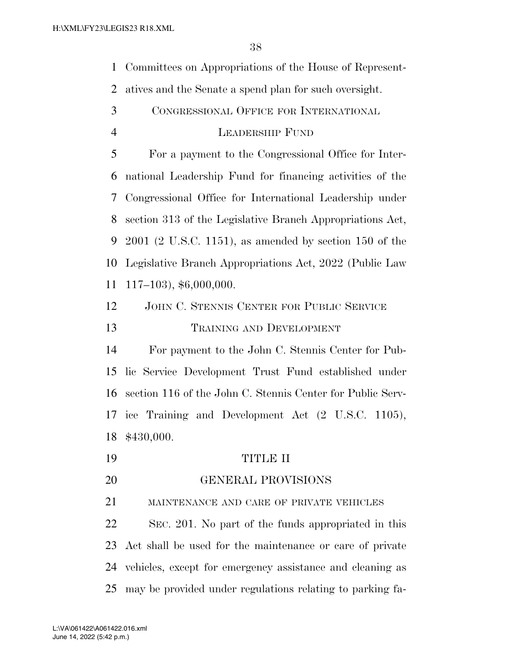Committees on Appropriations of the House of Represent-

- atives and the Senate a spend plan for such oversight.
- CONGRESSIONAL OFFICE FOR INTERNATIONAL

## LEADERSHIP FUND

 For a payment to the Congressional Office for Inter- national Leadership Fund for financing activities of the Congressional Office for International Leadership under section 313 of the Legislative Branch Appropriations Act, 2001 (2 U.S.C. 1151), as amended by section 150 of the Legislative Branch Appropriations Act, 2022 (Public Law 117–103), \$6,000,000.

 JOHN C. STENNIS CENTER FOR PUBLIC SERVICE TRAINING AND DEVELOPMENT

 For payment to the John C. Stennis Center for Pub- lic Service Development Trust Fund established under section 116 of the John C. Stennis Center for Public Serv- ice Training and Development Act (2 U.S.C. 1105), \$430,000.

- TITLE II
- GENERAL PROVISIONS

MAINTENANCE AND CARE OF PRIVATE VEHICLES

 SEC. 201. No part of the funds appropriated in this Act shall be used for the maintenance or care of private vehicles, except for emergency assistance and cleaning as may be provided under regulations relating to parking fa-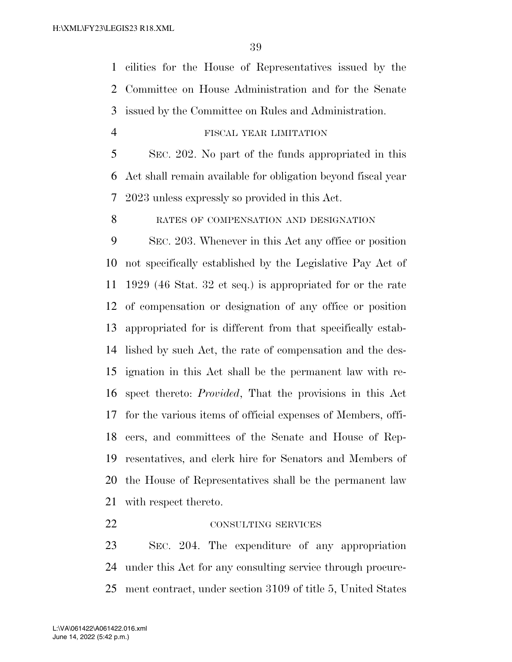cilities for the House of Representatives issued by the Committee on House Administration and for the Senate issued by the Committee on Rules and Administration.

FISCAL YEAR LIMITATION

 SEC. 202. No part of the funds appropriated in this Act shall remain available for obligation beyond fiscal year 2023 unless expressly so provided in this Act.

8 RATES OF COMPENSATION AND DESIGNATION

 SEC. 203. Whenever in this Act any office or position not specifically established by the Legislative Pay Act of 1929 (46 Stat. 32 et seq.) is appropriated for or the rate of compensation or designation of any office or position appropriated for is different from that specifically estab- lished by such Act, the rate of compensation and the des- ignation in this Act shall be the permanent law with re- spect thereto: *Provided*, That the provisions in this Act for the various items of official expenses of Members, offi- cers, and committees of the Senate and House of Rep- resentatives, and clerk hire for Senators and Members of the House of Representatives shall be the permanent law with respect thereto.

## 22 CONSULTING SERVICES

 SEC. 204. The expenditure of any appropriation under this Act for any consulting service through procure-ment contract, under section 3109 of title 5, United States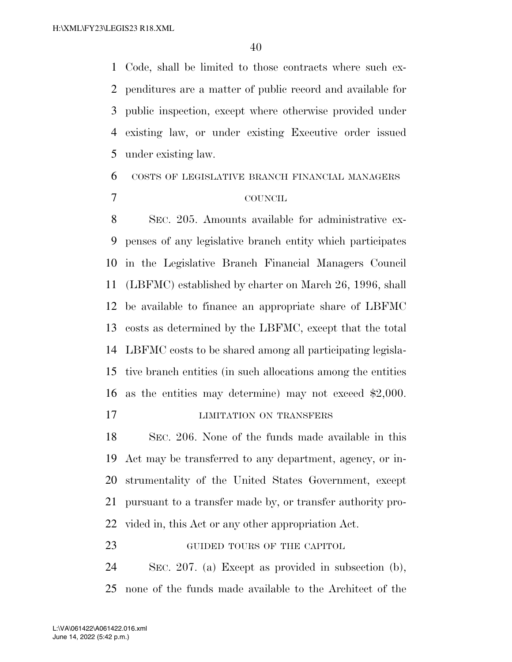Code, shall be limited to those contracts where such ex- penditures are a matter of public record and available for public inspection, except where otherwise provided under existing law, or under existing Executive order issued under existing law.

## COSTS OF LEGISLATIVE BRANCH FINANCIAL MANAGERS COUNCIL

 SEC. 205. Amounts available for administrative ex- penses of any legislative branch entity which participates in the Legislative Branch Financial Managers Council (LBFMC) established by charter on March 26, 1996, shall be available to finance an appropriate share of LBFMC costs as determined by the LBFMC, except that the total LBFMC costs to be shared among all participating legisla- tive branch entities (in such allocations among the entities as the entities may determine) may not exceed \$2,000.

## **LIMITATION ON TRANSFERS**

 SEC. 206. None of the funds made available in this Act may be transferred to any department, agency, or in- strumentality of the United States Government, except pursuant to a transfer made by, or transfer authority pro-vided in, this Act or any other appropriation Act.

**GUIDED TOURS OF THE CAPITOL** 

 SEC. 207. (a) Except as provided in subsection (b), none of the funds made available to the Architect of the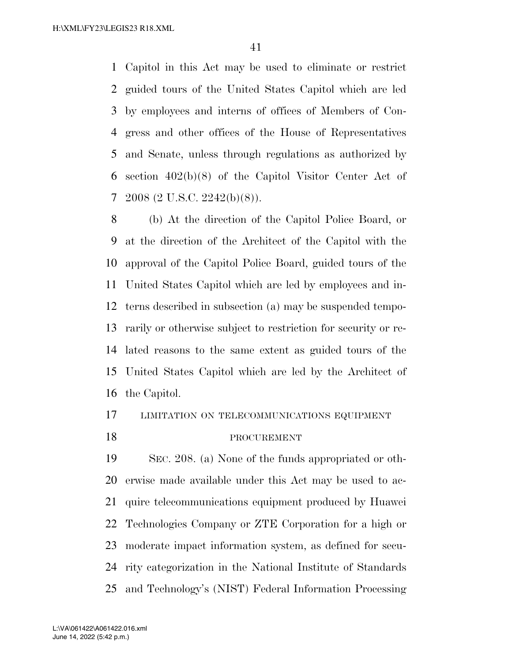Capitol in this Act may be used to eliminate or restrict guided tours of the United States Capitol which are led by employees and interns of offices of Members of Con- gress and other offices of the House of Representatives and Senate, unless through regulations as authorized by section 402(b)(8) of the Capitol Visitor Center Act of 2008 (2 U.S.C. 2242(b)(8)).

 (b) At the direction of the Capitol Police Board, or at the direction of the Architect of the Capitol with the approval of the Capitol Police Board, guided tours of the United States Capitol which are led by employees and in- terns described in subsection (a) may be suspended tempo- rarily or otherwise subject to restriction for security or re- lated reasons to the same extent as guided tours of the United States Capitol which are led by the Architect of the Capitol.

## LIMITATION ON TELECOMMUNICATIONS EQUIPMENT

## 18 PROCUREMENT

 SEC. 208. (a) None of the funds appropriated or oth- erwise made available under this Act may be used to ac- quire telecommunications equipment produced by Huawei Technologies Company or ZTE Corporation for a high or moderate impact information system, as defined for secu- rity categorization in the National Institute of Standards and Technology's (NIST) Federal Information Processing

June 14, 2022 (5:42 p.m.) L:\VA\061422\A061422.016.xml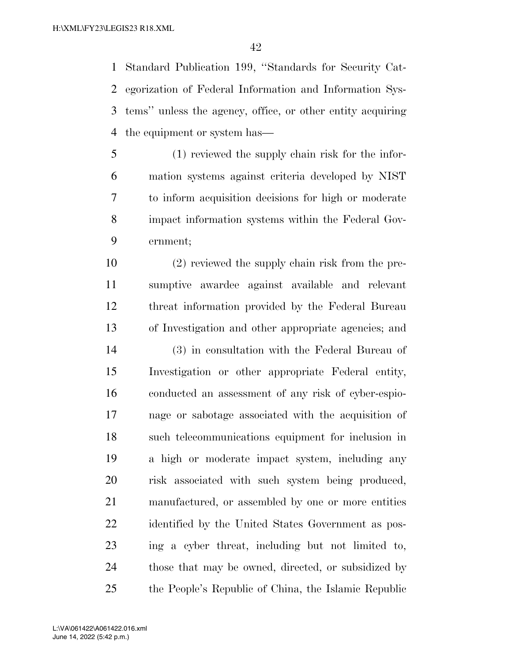Standard Publication 199, ''Standards for Security Cat- egorization of Federal Information and Information Sys- tems'' unless the agency, office, or other entity acquiring the equipment or system has—

 (1) reviewed the supply chain risk for the infor- mation systems against criteria developed by NIST to inform acquisition decisions for high or moderate impact information systems within the Federal Gov-ernment;

 (2) reviewed the supply chain risk from the pre- sumptive awardee against available and relevant threat information provided by the Federal Bureau of Investigation and other appropriate agencies; and

 (3) in consultation with the Federal Bureau of Investigation or other appropriate Federal entity, conducted an assessment of any risk of cyber-espio- nage or sabotage associated with the acquisition of such telecommunications equipment for inclusion in a high or moderate impact system, including any risk associated with such system being produced, manufactured, or assembled by one or more entities identified by the United States Government as pos- ing a cyber threat, including but not limited to, those that may be owned, directed, or subsidized by the People's Republic of China, the Islamic Republic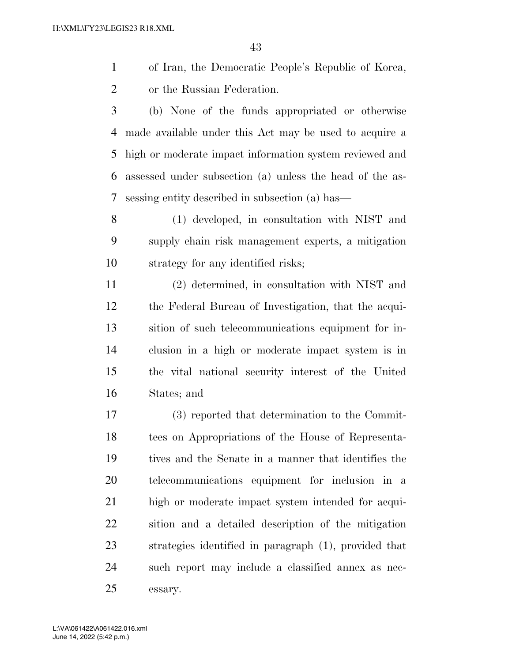of Iran, the Democratic People's Republic of Korea, or the Russian Federation.

 (b) None of the funds appropriated or otherwise made available under this Act may be used to acquire a high or moderate impact information system reviewed and assessed under subsection (a) unless the head of the as-sessing entity described in subsection (a) has—

 (1) developed, in consultation with NIST and supply chain risk management experts, a mitigation strategy for any identified risks;

 (2) determined, in consultation with NIST and the Federal Bureau of Investigation, that the acqui- sition of such telecommunications equipment for in- clusion in a high or moderate impact system is in the vital national security interest of the United States; and

 (3) reported that determination to the Commit- tees on Appropriations of the House of Representa- tives and the Senate in a manner that identifies the telecommunications equipment for inclusion in a high or moderate impact system intended for acqui- sition and a detailed description of the mitigation strategies identified in paragraph (1), provided that such report may include a classified annex as nec-essary.

June 14, 2022 (5:42 p.m.) L:\VA\061422\A061422.016.xml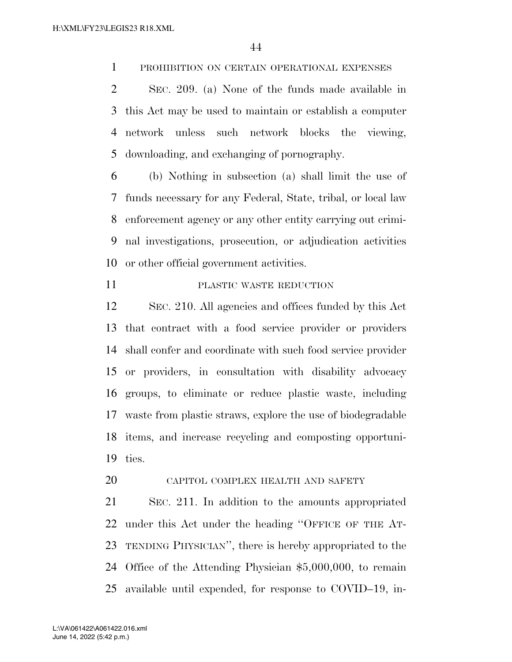PROHIBITION ON CERTAIN OPERATIONAL EXPENSES

 SEC. 209. (a) None of the funds made available in this Act may be used to maintain or establish a computer network unless such network blocks the viewing, downloading, and exchanging of pornography.

 (b) Nothing in subsection (a) shall limit the use of funds necessary for any Federal, State, tribal, or local law enforcement agency or any other entity carrying out crimi- nal investigations, prosecution, or adjudication activities or other official government activities.

PLASTIC WASTE REDUCTION

 SEC. 210. All agencies and offices funded by this Act that contract with a food service provider or providers shall confer and coordinate with such food service provider or providers, in consultation with disability advocacy groups, to eliminate or reduce plastic waste, including waste from plastic straws, explore the use of biodegradable items, and increase recycling and composting opportuni-ties.

20 CAPITOL COMPLEX HEALTH AND SAFETY

 SEC. 211. In addition to the amounts appropriated under this Act under the heading ''OFFICE OF THE AT- TENDING PHYSICIAN'', there is hereby appropriated to the Office of the Attending Physician \$5,000,000, to remain available until expended, for response to COVID–19, in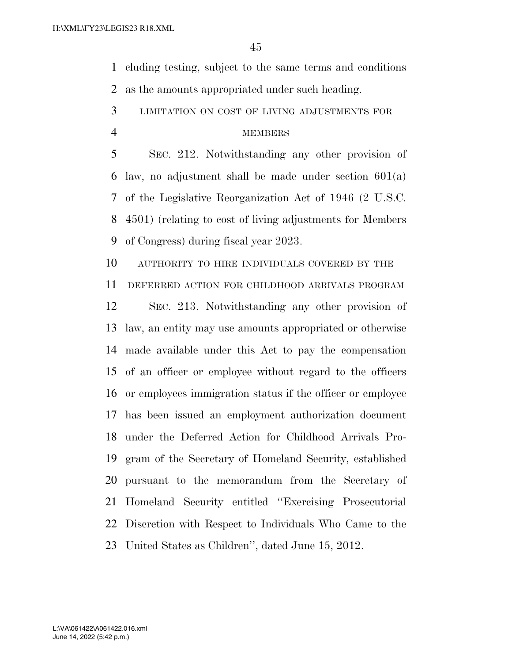cluding testing, subject to the same terms and conditions as the amounts appropriated under such heading.

LIMITATION ON COST OF LIVING ADJUSTMENTS FOR

## MEMBERS

 SEC. 212. Notwithstanding any other provision of law, no adjustment shall be made under section 601(a) of the Legislative Reorganization Act of 1946 (2 U.S.C. 4501) (relating to cost of living adjustments for Members of Congress) during fiscal year 2023.

 AUTHORITY TO HIRE INDIVIDUALS COVERED BY THE DEFERRED ACTION FOR CHILDHOOD ARRIVALS PROGRAM

 SEC. 213. Notwithstanding any other provision of law, an entity may use amounts appropriated or otherwise made available under this Act to pay the compensation of an officer or employee without regard to the officers or employees immigration status if the officer or employee has been issued an employment authorization document under the Deferred Action for Childhood Arrivals Pro- gram of the Secretary of Homeland Security, established pursuant to the memorandum from the Secretary of Homeland Security entitled ''Exercising Prosecutorial Discretion with Respect to Individuals Who Came to the United States as Children'', dated June 15, 2012.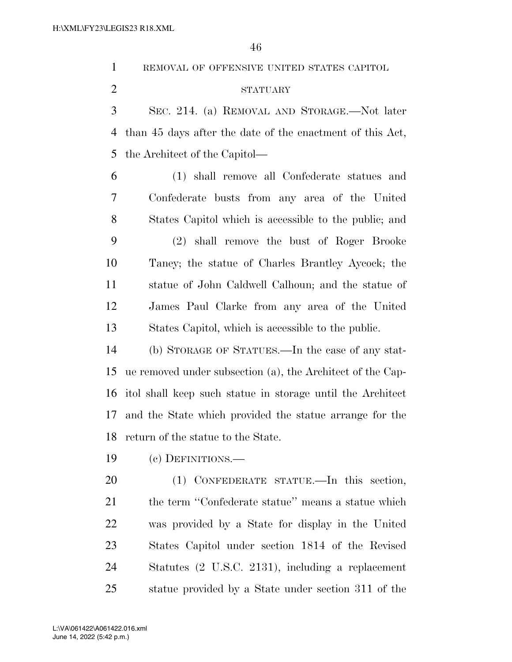REMOVAL OF OFFENSIVE UNITED STATES CAPITOL

## STATUARY

 SEC. 214. (a) REMOVAL AND STORAGE.—Not later than 45 days after the date of the enactment of this Act, the Architect of the Capitol—

 (1) shall remove all Confederate statues and Confederate busts from any area of the United States Capitol which is accessible to the public; and (2) shall remove the bust of Roger Brooke Taney; the statue of Charles Brantley Aycock; the statue of John Caldwell Calhoun; and the statue of James Paul Clarke from any area of the United States Capitol, which is accessible to the public.

 (b) STORAGE OF STATUES.—In the case of any stat- ue removed under subsection (a), the Architect of the Cap- itol shall keep such statue in storage until the Architect and the State which provided the statue arrange for the return of the statue to the State.

(c) DEFINITIONS.—

 (1) CONFEDERATE STATUE.—In this section, 21 the term "Confederate statue" means a statue which was provided by a State for display in the United States Capitol under section 1814 of the Revised Statutes (2 U.S.C. 2131), including a replacement statue provided by a State under section 311 of the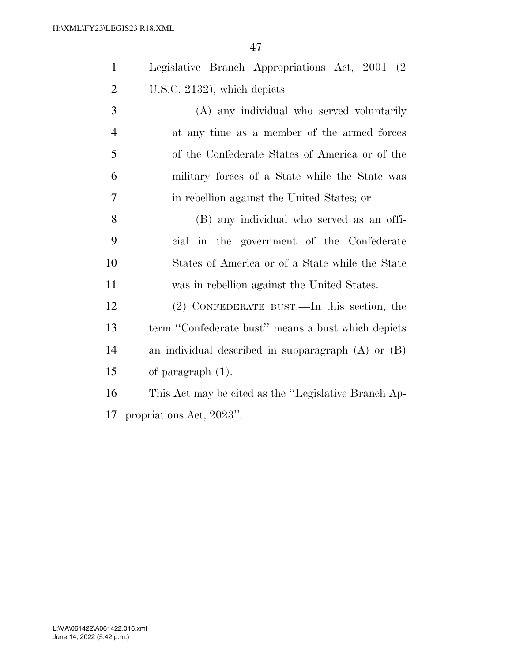|                              | Legislative Branch Appropriations Act, 2001 (2) |  |  |
|------------------------------|-------------------------------------------------|--|--|
| U.S.C. 2132), which depicts— |                                                 |  |  |

 (A) any individual who served voluntarily at any time as a member of the armed forces of the Confederate States of America or of the military forces of a State while the State was in rebellion against the United States; or

 (B) any individual who served as an offi- cial in the government of the Confederate States of America or of a State while the State was in rebellion against the United States.

 (2) CONFEDERATE BUST.—In this section, the term ''Confederate bust'' means a bust which depicts an individual described in subparagraph (A) or (B) of paragraph (1).

 This Act may be cited as the ''Legislative Branch Ap-propriations Act, 2023''.